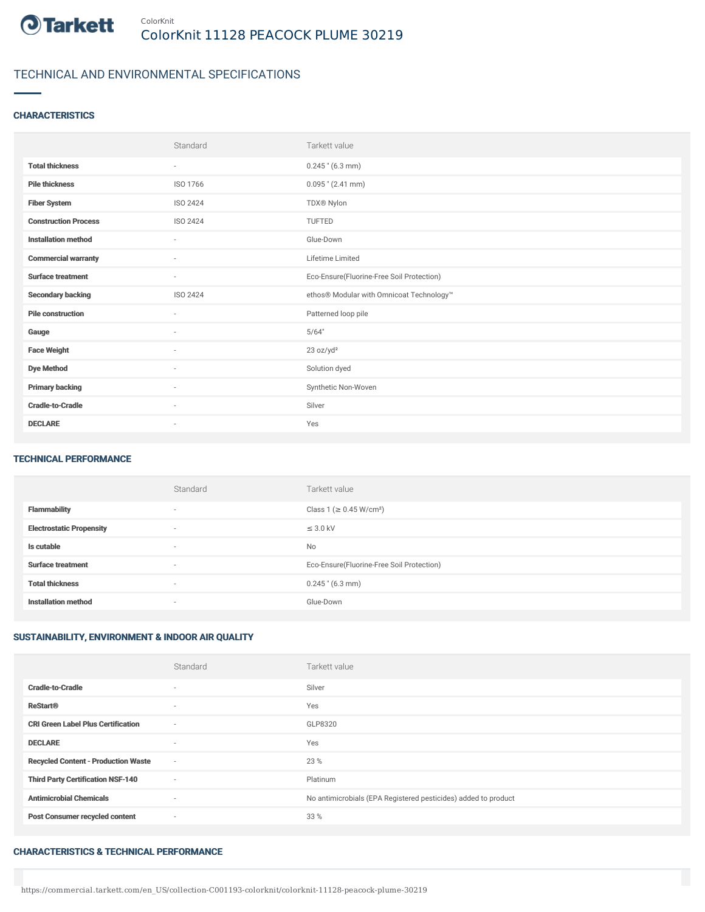

## TECHNICAL AND ENVIRONMENTAL SPECIFICATIONS

### **CHARACTERISTICS**

|                             | Standard                 | Tarkett value                             |
|-----------------------------|--------------------------|-------------------------------------------|
| <b>Total thickness</b>      | $\sim$                   | $0.245$ " (6.3 mm)                        |
| <b>Pile thickness</b>       | ISO 1766                 | $0.095$ " (2.41 mm)                       |
| <b>Fiber System</b>         | ISO 2424                 | TDX® Nylon                                |
| <b>Construction Process</b> | ISO 2424                 | TUFTED                                    |
| <b>Installation method</b>  | $\sim$                   | Glue-Down                                 |
| <b>Commercial warranty</b>  | $\sim$                   | Lifetime Limited                          |
| <b>Surface treatment</b>    | $\sim$                   | Eco-Ensure(Fluorine-Free Soil Protection) |
| <b>Secondary backing</b>    | ISO 2424                 | ethos® Modular with Omnicoat Technology™  |
| <b>Pile construction</b>    | $\overline{\phantom{a}}$ | Patterned loop pile                       |
| Gauge                       | ×.                       | 5/64"                                     |
| <b>Face Weight</b>          | ٠                        | 23 oz/yd <sup>2</sup>                     |
| <b>Dye Method</b>           | $\sim$                   | Solution dyed                             |
| <b>Primary backing</b>      | $\sim$                   | Synthetic Non-Woven                       |
| <b>Cradle-to-Cradle</b>     | ٠                        | Silver                                    |
| <b>DECLARE</b>              | $\sim$                   | Yes                                       |

#### TECHNICAL PERFORMANCE

|                                 | Standard                 | Tarkett value                             |
|---------------------------------|--------------------------|-------------------------------------------|
| <b>Flammability</b>             | $\overline{\phantom{a}}$ | Class 1 (≥ 0.45 W/cm <sup>2</sup> )       |
| <b>Electrostatic Propensity</b> | $\sim$                   | $\leq$ 3.0 kV                             |
| Is cutable                      | $\sim$                   | No                                        |
| <b>Surface treatment</b>        | $\sim$                   | Eco-Ensure(Fluorine-Free Soil Protection) |
| <b>Total thickness</b>          | $\sim$                   | $0.245$ " (6.3 mm)                        |
| <b>Installation method</b>      | $\sim$                   | Glue-Down                                 |

### SUSTAINABILITY, ENVIRONMENT & INDOOR AIR QUALITY

|                                            | Standard | Tarkett value                                                  |
|--------------------------------------------|----------|----------------------------------------------------------------|
| <b>Cradle-to-Cradle</b>                    | $\sim$   | Silver                                                         |
| <b>ReStart®</b>                            | $\sim$   | Yes                                                            |
| <b>CRI Green Label Plus Certification</b>  | $\sim$   | GLP8320                                                        |
| <b>DECLARE</b>                             | $\sim$   | Yes                                                            |
| <b>Recycled Content - Production Waste</b> | $\sim$   | 23 %                                                           |
| <b>Third Party Certification NSF-140</b>   | $\sim$   | Platinum                                                       |
| <b>Antimicrobial Chemicals</b>             | $\sim$   | No antimicrobials (EPA Registered pesticides) added to product |
| <b>Post Consumer recycled content</b>      | $\sim$   | 33 %                                                           |

#### CHARACTERISTICS & TECHNICAL PERFORMANCE